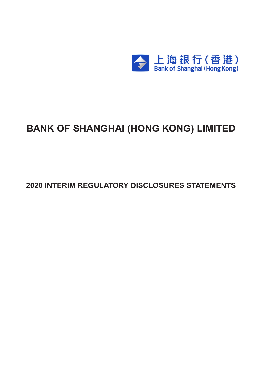

# **BANK OF SHANGHAI (HONG KONG) LIMITED**

**2020 INTERIM REGULATORY DISCLOSURES STATEMENTS**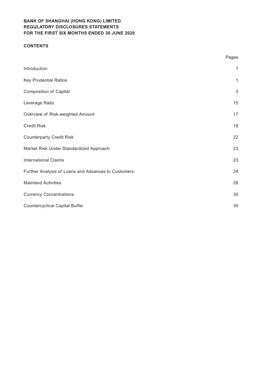## **CONTENTS**

|                                                     | Pages        |
|-----------------------------------------------------|--------------|
| Introduction                                        | $\mathbf{1}$ |
| <b>Key Prudential Ratios</b>                        | $\mathbf{1}$ |
| <b>Composition of Capital</b>                       | $\sqrt{3}$   |
| Leverage Ratio                                      | 15           |
| Overview of Risk-weighted Amount                    | 17           |
| <b>Credit Risk</b>                                  | 19           |
| <b>Counterparty Credit Risk</b>                     | 22           |
| Market Risk Under Standardized Approach             | 23           |
| <b>International Claims</b>                         | 23           |
| Further Analysis of Loans and Advances to Customers | 24           |
| <b>Mainland Activities</b>                          | 28           |
| <b>Currency Concentrations</b>                      | 30           |
| <b>Countercyclical Capital Buffer</b>               | 30           |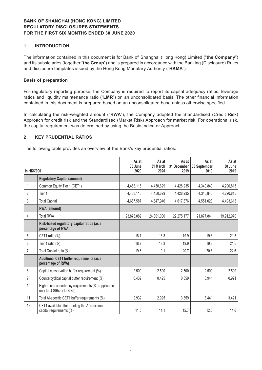#### **1 INTRODUCTION**

The information contained in this document is for Bank of Shanghai (Hong Kong) Limited ("**the Company**") and its subsidiaries (together "**the Group**") and is prepared in accordance with the Banking (Disclosure) Rules and disclosure templates issued by the Hong Kong Monetary Authority ("**HKMA**").

#### **Basis of preparation**

For regulatory reporting purpose, the Company is required to report its capital adequacy ratios, leverage ratios and liquidity maintenance ratio ("**LMR**") on an unconsolidated basis. The other financial information contained in this document is prepared based on an unconsolidated base unless otherwise specified.

In calculating the risk-weighted amount ("**RWA**"), the Company adopted the Standardised (Credit Risk) Approach for credit risk and the Standardised (Market Risk) Approach for market risk. For operational risk, the capital requirement was determined by using the Basic Indicator Approach.

#### **2 KEY PRUDENTIAL RATIOS**

The following table provides an overview of the Bank's key prudential ratios.

| <b>In HK\$'000</b> |                                                                                  | As at<br>30 June<br>2020 | As at<br>31 March<br>2020 | As at<br>31 December<br>2019 | As at<br>30 September<br>2019 | As at<br>30 June<br>2019 |
|--------------------|----------------------------------------------------------------------------------|--------------------------|---------------------------|------------------------------|-------------------------------|--------------------------|
|                    | <b>Regulatory Capital (amount)</b>                                               |                          |                           |                              |                               |                          |
| 1                  | Common Equity Tier 1 (CET1)                                                      | 4,468,116                | 4,450,629                 | 4,428,235                    | 4,340,840                     | 4,290,815                |
| 2                  | Tier 1                                                                           | 4,468,116                | 4,450,629                 | 4,428,235                    | 4,340,840                     | 4,290,815                |
| 3                  | <b>Total Capital</b>                                                             | 4,667,587                | 4,647,946                 | 4,617,876                    | 4,551,023                     | 4,493,613                |
|                    | RWA (amount)                                                                     |                          |                           |                              |                               |                          |
| 4                  | <b>Total RWA</b>                                                                 | 23,873,089               | 24,301,000                | 22,275,177                   | 21,877,841                    | 19,912,970               |
|                    | Risk-based regulatory capital ratios (as a<br>percentage of RWA)                 |                          |                           |                              |                               |                          |
| 5                  | CET1 ratio (%)                                                                   | 18.7                     | 18.3                      | 19.9                         | 19.8                          | 21.5                     |
| 6                  | Tier 1 ratio (%)                                                                 | 18.7                     | 18.3                      | 19.9                         | 19.8                          | 21.5                     |
| $\overline{7}$     | Total Capital ratio (%)                                                          | 19.6                     | 19.1                      | 20.7                         | 20.8                          | 22.6                     |
|                    | Additional CET1 buffer requirements (as a<br>percentage of RWA)                  |                          |                           |                              |                               |                          |
| 8                  | Capital conservation buffer requirement (%)                                      | 2.500                    | 2.500                     | 2.500                        | 2.500                         | 2.500                    |
| 9                  | Countercyclical capital buffer requirement (%)                                   | 0.432                    | 0.425                     | 0.859                        | 0.941                         | 0.921                    |
| 10                 | Higher loss absorbency requirements (%) (applicable<br>only to G-SIBs or D-SIBs) |                          |                           |                              |                               |                          |
| 11                 | Total Al-specific CET1 buffer requirements (%)                                   | 2.932                    | 2.925                     | 3.359                        | 3.441                         | 3.421                    |
| 12                 | CET1 available after meeting the AI's minimum<br>capital requirements (%)        | 11.6                     | 11.1                      | 12.7                         | 12.8                          | 14.6                     |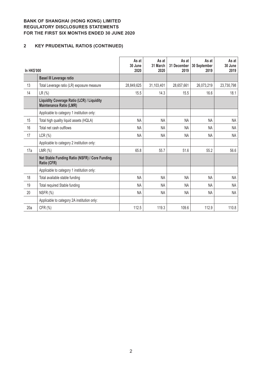# **2 KEY PRUDENTIAL RATIOS (CONTINUED)**

| In HK\$'000 |                                                                              | As at<br>30 June<br>2020 | As at<br>31 March<br>2020 | As at<br>31 December<br>2019 | As at<br>30 September<br>2019 | As at<br>30 June<br>2019 |
|-------------|------------------------------------------------------------------------------|--------------------------|---------------------------|------------------------------|-------------------------------|--------------------------|
|             | <b>Basel III Leverage ratio</b>                                              |                          |                           |                              |                               |                          |
| 13          | Total Leverage ratio (LR) exposure measure                                   | 28,849,625               | 31,103,401                | 28,657,661                   | 26,073,219                    | 23,730,798               |
| 14          | $LR$ (%)                                                                     | 15.5                     | 14.3                      | 15.5                         | 16.6                          | 18.1                     |
|             | Liquidity Coverage Ratio (LCR) / Liquidity<br><b>Maintenance Ratio (LMR)</b> |                          |                           |                              |                               |                          |
|             | Applicable to category 1 institution only:                                   |                          |                           |                              |                               |                          |
| 15          | Total high quality liquid assets (HQLA)                                      | NA                       | <b>NA</b>                 | <b>NA</b>                    | <b>NA</b>                     | <b>NA</b>                |
| 16          | Total net cash outflows                                                      | <b>NA</b>                | <b>NA</b>                 | <b>NA</b>                    | <b>NA</b>                     | NA                       |
| 17          | LCR(%)                                                                       | <b>NA</b>                | <b>NA</b>                 | <b>NA</b>                    | <b>NA</b>                     | <b>NA</b>                |
|             | Applicable to category 2 institution only:                                   |                          |                           |                              |                               |                          |
| 17a         | LMR $(\%)$                                                                   | 65.8                     | 55.7                      | 51.6                         | 55.2                          | 56.6                     |
|             | Net Stable Funding Ratio (NSFR) / Core Funding<br>Ratio (CFR)                |                          |                           |                              |                               |                          |
|             | Applicable to category 1 institution only:                                   |                          |                           |                              |                               |                          |
| 18          | Total available stable funding                                               | <b>NA</b>                | <b>NA</b>                 | <b>NA</b>                    | <b>NA</b>                     | <b>NA</b>                |
| 19          | Total required Stable funding                                                | <b>NA</b>                | <b>NA</b>                 | <b>NA</b>                    | <b>NA</b>                     | <b>NA</b>                |
| 20          | NSFR (%)                                                                     | <b>NA</b>                | <b>NA</b>                 | NA                           | NA                            | <b>NA</b>                |
|             | Applicable to category 2A institution only:                                  |                          |                           |                              |                               |                          |
| 20a         | CFR (%)                                                                      | 112.5                    | 119.3                     | 109.6                        | 112.9                         | 110.8                    |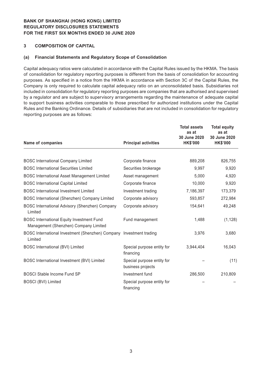#### **3 COMPOSITION OF CAPITAL**

#### **(a) Financial Statements and Regulatory Scope of Consolidation**

Capital adequacy ratios were calculated in accordance with the Capital Rules issued by the HKMA. The basis of consolidation for regulatory reporting purposes is different from the basis of consolidation for accounting purposes. As specified in a notice from the HKMA in accordance with Section 3C of the Capital Rules, the Company is only required to calculate capital adequacy ratio on an unconsolidated basis. Subsidiaries not included in consolidation for regulatory reporting purposes are companies that are authorised and supervised by a regulator and are subject to supervisory arrangements regarding the maintenance of adequate capital to support business activities comparable to those prescribed for authorized institutions under the Capital Rules and the Banking Ordinance. Details of subsidiaries that are not included in consolidation for regulatory reporting purposes are as follows:

| Name of companies                                                                         | <b>Principal activities</b>                     | <b>Total assets</b><br>as at<br>30 June 2020<br><b>HK\$'000</b> | <b>Total equity</b><br>as at<br>30 June 2020<br><b>HK\$'000</b> |
|-------------------------------------------------------------------------------------------|-------------------------------------------------|-----------------------------------------------------------------|-----------------------------------------------------------------|
|                                                                                           |                                                 |                                                                 |                                                                 |
| <b>BOSC International Company Limited</b>                                                 | Corporate finance                               | 889,208                                                         | 826,755                                                         |
| <b>BOSC International Securities Limited</b>                                              | Securities brokerage                            | 9,997                                                           | 9,920                                                           |
| <b>BOSC International Asset Management Limited</b>                                        | Asset management                                | 5,000                                                           | 4,920                                                           |
| <b>BOSC International Capital Limited</b>                                                 | Corporate finance                               | 10,000                                                          | 9,920                                                           |
| <b>BOSC</b> International Investment Limited                                              | Investment trading                              | 7,186,397                                                       | 173,379                                                         |
| BOSC International (Shenzhen) Company Limited                                             | Corporate advisory                              | 593,857                                                         | 272,984                                                         |
| <b>BOSC International Advisory (Shenzhen) Company</b><br>Limited                          | Corporate advisory                              | 154,641                                                         | 49,248                                                          |
| <b>BOSC International Equity Investment Fund</b><br>Management (Shenzhen) Company Limited | Fund management                                 | 1,488                                                           | (1, 128)                                                        |
| BOSC International Investment (Shenzhen) Company<br>Limited                               | Investment trading                              | 3,976                                                           | 3,680                                                           |
| <b>BOSC International (BVI) Limited</b>                                                   | Special purpose entity for<br>financing         | 3,944,404                                                       | 16,043                                                          |
| BOSC International Investment (BVI) Limited                                               | Special purpose entity for<br>business projects |                                                                 | (11)                                                            |
| <b>BOSCI Stable Income Fund SP</b>                                                        | Investment fund                                 | 286,500                                                         | 210,809                                                         |
| <b>BOSCI (BVI) Limited</b>                                                                | Special purpose entity for<br>financing         |                                                                 |                                                                 |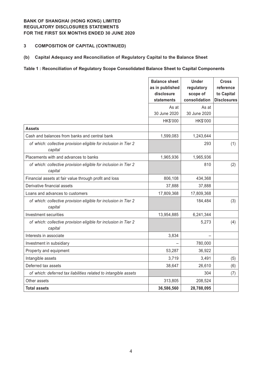## **3 COMPOSITION OF CAPITAL (CONTINUED)**

#### **(b) Capital Adequacy and Reconciliation of Regulatory Capital to the Balance Sheet**

#### **Table 1 : Reconciliation of Regulatory Scope Consolidated Balance Sheet to Capital Components**

|                                                                            | <b>Balance sheet</b><br>as in published<br>disclosure<br>statements | <b>Under</b><br>regulatory<br>scope of<br>consolidation | <b>Cross</b><br>reference<br>to Capital<br><b>Disclosures</b> |
|----------------------------------------------------------------------------|---------------------------------------------------------------------|---------------------------------------------------------|---------------------------------------------------------------|
|                                                                            | As at<br>30 June 2020                                               | As at<br>30 June 2020                                   |                                                               |
|                                                                            | HK\$'000                                                            | HK\$'000                                                |                                                               |
| <b>Assets</b>                                                              |                                                                     |                                                         |                                                               |
| Cash and balances from banks and central bank                              | 1,599,083                                                           | 1,243,644                                               |                                                               |
| of which: collective provision eligible for inclusion in Tier 2<br>capital |                                                                     | 293                                                     | (1)                                                           |
| Placements with and advances to banks                                      | 1,965,936                                                           | 1,965,936                                               |                                                               |
| of which: collective provision eligible for inclusion in Tier 2<br>capital |                                                                     | 810                                                     | (2)                                                           |
| Financial assets at fair value through profit and loss                     | 806,108                                                             | 434,368                                                 |                                                               |
| Derivative financial assets                                                | 37,888                                                              | 37,888                                                  |                                                               |
| Loans and advances to customers                                            | 17,809,368                                                          | 17,809,368                                              |                                                               |
| of which: collective provision eligible for inclusion in Tier 2<br>capital |                                                                     | 184,484                                                 | (3)                                                           |
| Investment securities                                                      | 13,954,885                                                          | 6,241,344                                               |                                                               |
| of which: collective provision eligible for inclusion in Tier 2<br>capital |                                                                     | 5,273                                                   | (4)                                                           |
| Interests in associate                                                     | 3,834                                                               |                                                         |                                                               |
| Investment in subsidiary                                                   |                                                                     | 780,000                                                 |                                                               |
| Property and equipment                                                     | 53,287                                                              | 36,922                                                  |                                                               |
| Intangible assets                                                          | 3,719                                                               | 3,491                                                   | (5)                                                           |
| Deferred tax assets                                                        | 38,647                                                              | 26,610                                                  | (6)                                                           |
| of which: deferred tax liabilities related to intangible assets            |                                                                     | 304                                                     | (7)                                                           |
| Other assets                                                               | 313,805                                                             | 208,524                                                 |                                                               |
| <b>Total assets</b>                                                        | 36,586,560                                                          | 28,788,095                                              |                                                               |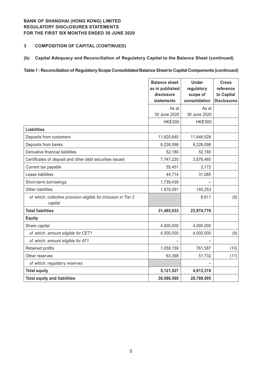# **3 COMPOSITION OF CAPITAL (CONTINUED)**

## **(b) Capital Adequacy and Reconciliation of Regulatory Capital to the Balance Sheet (continued)**

#### **Table 1 : Reconciliation of Regulatory Scope Consolidated Balance Sheet to Capital Components (continued)**

|                                                                            | <b>Balance sheet</b><br>as in published<br>disclosure<br>statements | <b>Under</b><br>regulatory<br>scope of<br>consolidation | <b>Cross</b><br>reference<br>to Capital<br><b>Disclosures</b> |
|----------------------------------------------------------------------------|---------------------------------------------------------------------|---------------------------------------------------------|---------------------------------------------------------------|
|                                                                            | As at<br>30 June 2020                                               | As at<br>30 June 2020                                   |                                                               |
|                                                                            | HK\$'000                                                            | HK\$'000                                                |                                                               |
| <b>Liabilities</b>                                                         |                                                                     |                                                         |                                                               |
| Deposits from customers                                                    | 11,620,840                                                          | 11,646,528                                              |                                                               |
| Deposits from banks                                                        | 8,226,098                                                           | 8,226,098                                               |                                                               |
| Derivative financial liabilities                                           | 52,180                                                              | 52,180                                                  |                                                               |
| Certificates of deposit and other debt securities issued                   | 7,747,220                                                           | 3,876,460                                               |                                                               |
| Current tax payable                                                        | 55,451                                                              | 2,172                                                   |                                                               |
| Lease liabilities                                                          | 44,714                                                              | 31,085                                                  |                                                               |
| Short-term borrowings                                                      | 1,739,439                                                           |                                                         |                                                               |
| <b>Other liabilities</b>                                                   | 1,979,091                                                           | 140,253                                                 |                                                               |
| of which: collective provision eligible for inclusion in Tier 2<br>capital |                                                                     | 8,611                                                   | (8)                                                           |
| <b>Total liabilities</b>                                                   | 31,465,033                                                          | 23,974,776                                              |                                                               |
| <b>Equity</b>                                                              |                                                                     |                                                         |                                                               |
| Share capital                                                              | 4,000,000                                                           | 4,000,000                                               |                                                               |
| of which: amount eligible for CET1                                         | 4,000,000                                                           | 4,000,000                                               | (9)                                                           |
| of which: amount eligible for AT1                                          |                                                                     |                                                         |                                                               |
| Retained profits                                                           | 1,058,159                                                           | 761,587                                                 | (10)                                                          |
| Other reserves                                                             | 63,368                                                              | 51,732                                                  | (11)                                                          |
| of which: regulatory reserves                                              |                                                                     |                                                         |                                                               |
| <b>Total equity</b>                                                        | 5,121,527                                                           | 4,813,319                                               |                                                               |
| <b>Total equity and liabilities</b>                                        | 36,586,560                                                          | 28,788,095                                              |                                                               |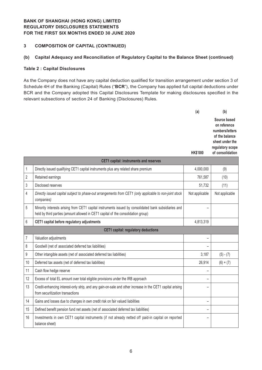## **3 COMPOSITION OF CAPITAL (CONTINUED)**

## **(b) Capital Adequacy and Reconciliation of Regulatory Capital to the Balance Sheet (continued)**

#### **Table 2 : Capital Disclosures**

As the Company does not have any capital deduction qualified for transition arrangement under section 3 of Schedule 4H of the Banking (Capital) Rules ("**BCR**"), the Company has applied full capital deductions under BCR and the Company adopted this Capital Disclosures Template for making disclosures specified in the relevant subsections of section 24 of Banking (Disclosures) Rules.

|              |                                                                                                                                                                                            | (a)             | (b)                                                                                                                          |  |  |
|--------------|--------------------------------------------------------------------------------------------------------------------------------------------------------------------------------------------|-----------------|------------------------------------------------------------------------------------------------------------------------------|--|--|
|              |                                                                                                                                                                                            | <b>HK\$'000</b> | Source based<br>on reference<br>numbers/letters<br>of the balance<br>sheet under the<br>regulatory scope<br>of consolidation |  |  |
|              | <b>CET1 capital: instruments and reserves</b>                                                                                                                                              |                 |                                                                                                                              |  |  |
| 1            | Directly issued qualifying CET1 capital instruments plus any related share premium                                                                                                         | 4,000,000       | (9)                                                                                                                          |  |  |
| 2            | Retained earnings                                                                                                                                                                          | 761,587         | (10)                                                                                                                         |  |  |
| 3            | Disclosed reserves                                                                                                                                                                         | 51,732          | (11)                                                                                                                         |  |  |
| 4            | Directly issued capital subject to phase-out arrangements from CET1 (only applicable to non-joint stock<br>companies)                                                                      | Not applicable  | Not applicable                                                                                                               |  |  |
| 5            | Minority interests arising from CET1 capital instruments issued by consolidated bank subsidiaries and<br>held by third parties (amount allowed in CET1 capital of the consolidation group) |                 |                                                                                                                              |  |  |
| $\mathbf{C}$ | CET1 conital hofers requisions adjustments                                                                                                                                                 | A 049 940       |                                                                                                                              |  |  |

|    | held by third parties (amount allowed in CET1 capital of the consolidation group)                                                             |           |             |
|----|-----------------------------------------------------------------------------------------------------------------------------------------------|-----------|-------------|
| 6  | CET1 capital before regulatory adjustments                                                                                                    | 4,813,319 |             |
|    | <b>CET1</b> capital: regulatory deductions                                                                                                    |           |             |
|    | Valuation adjustments                                                                                                                         |           |             |
| 8  | Goodwill (net of associated deferred tax liabilities)                                                                                         |           |             |
| 9  | Other intangible assets (net of associated deferred tax liabilities)                                                                          | 3,187     | $(5) - (7)$ |
| 10 | Deferred tax assets (net of deferred tax liabilities)                                                                                         | 26,914    | $(6) + (7)$ |
| 11 | Cash flow hedge reserve                                                                                                                       |           |             |
| 12 | Excess of total EL amount over total eligible provisions under the IRB approach                                                               |           |             |
| 13 | Credit-enhancing interest-only strip, and any gain-on-sale and other increase in the CET1 capital arising<br>from securitization transactions |           |             |
| 14 | Gains and losses due to changes in own credit risk on fair valued liabilities                                                                 |           |             |
| 15 | Defined benefit pension fund net assets (net of associated deferred tax liabilities)                                                          |           |             |
| 16 | Investments in own CET1 capital instruments (if not already netted off paid-in capital on reported<br>balance sheet)                          |           |             |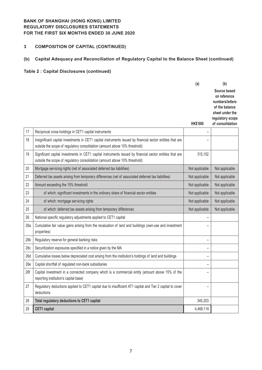# **3 COMPOSITION OF CAPITAL (CONTINUED)**

# **(b) Capital Adequacy and Reconciliation of Regulatory Capital to the Balance Sheet (continued)**

|                 |                                                                                                                                                                                          | (a)             | (b)                                                                                                                          |
|-----------------|------------------------------------------------------------------------------------------------------------------------------------------------------------------------------------------|-----------------|------------------------------------------------------------------------------------------------------------------------------|
|                 |                                                                                                                                                                                          | <b>HK\$'000</b> | Source based<br>on reference<br>numbers/letters<br>of the balance<br>sheet under the<br>regulatory scope<br>of consolidation |
| 17              | Reciprocal cross-holdings in CET1 capital instruments                                                                                                                                    |                 |                                                                                                                              |
| 18              | Insignificant capital investments in CET1 capital instruments issued by financial sector entities that are<br>outside the scope of regulatory consolidation (amount above 10% threshold) |                 |                                                                                                                              |
| 19              | Significant capital investments in CET1 capital instruments issued by financial sector entities that are<br>outside the scope of regulatory consolidation (amount above 10% threshold)   | 315,102         |                                                                                                                              |
| 20              | Mortgage servicing rights (net of associated deferred tax liabilities)                                                                                                                   | Not applicable  | Not applicable                                                                                                               |
| 21              | Deferred tax assets arising from temporary differences (net of associated deferred tax liabilities)                                                                                      | Not applicable  | Not applicable                                                                                                               |
| 22              | Amount exceeding the 15% threshold                                                                                                                                                       | Not applicable  | Not applicable                                                                                                               |
| 23              | of which: significant investments in the ordinary share of financial sector entities                                                                                                     | Not applicable  | Not applicable                                                                                                               |
| 24              | of which: mortgage servicing rights                                                                                                                                                      | Not applicable  | Not applicable                                                                                                               |
| 25              | of which: deferred tax assets arising from temporary differences                                                                                                                         | Not applicable  | Not applicable                                                                                                               |
| 26              | National specific regulatory adjustments applied to CET1 capital                                                                                                                         |                 |                                                                                                                              |
| 26a             | Cumulative fair value gains arising from the revaluation of land and buildings (own-use and investment<br>properties)                                                                    |                 |                                                                                                                              |
| 26 <sub>b</sub> | Regulatory reserve for general banking risks                                                                                                                                             | -               |                                                                                                                              |
| 26c             | Securitization exposures specified in a notice given by the MA                                                                                                                           |                 |                                                                                                                              |
| 26d             | Cumulative losses below depreciated cost arising from the institution's holdings of land and buildings                                                                                   | -               |                                                                                                                              |
| 26e             | Capital shortfall of regulated non-bank subsidiaries                                                                                                                                     | -               |                                                                                                                              |
| 26f             | Capital investment in a connected company which is a commercial entity (amount above 15% of the<br>reporting institution's capital base)                                                 | -               |                                                                                                                              |
| 27              | Regulatory deductions applied to CET1 capital due to insufficient AT1 capital and Tier 2 capital to cover<br>deductions                                                                  |                 |                                                                                                                              |
| 28              | Total regulatory deductions to CET1 capital                                                                                                                                              | 345,203         |                                                                                                                              |
| 29              | <b>CET1</b> capital                                                                                                                                                                      | 4,468,116       |                                                                                                                              |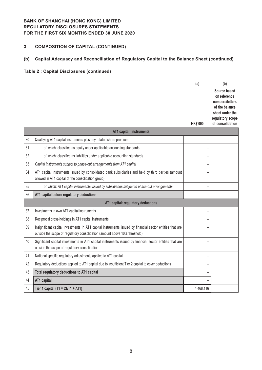# **3 COMPOSITION OF CAPITAL (CONTINUED)**

# **(b) Capital Adequacy and Reconciliation of Regulatory Capital to the Balance Sheet (continued)**

|    |                                                                                                                                                                                         | (a)                      | (b)                                                                                                                          |
|----|-----------------------------------------------------------------------------------------------------------------------------------------------------------------------------------------|--------------------------|------------------------------------------------------------------------------------------------------------------------------|
|    |                                                                                                                                                                                         | <b>HK\$'000</b>          | Source based<br>on reference<br>numbers/letters<br>of the balance<br>sheet under the<br>regulatory scope<br>of consolidation |
|    | AT1 capital: instruments                                                                                                                                                                |                          |                                                                                                                              |
| 30 | Qualifying AT1 capital instruments plus any related share premium                                                                                                                       | -                        |                                                                                                                              |
| 31 | of which: classified as equity under applicable accounting standards                                                                                                                    | ۳                        |                                                                                                                              |
| 32 | of which: classified as liabilities under applicable accounting standards                                                                                                               | $\overline{\phantom{0}}$ |                                                                                                                              |
| 33 | Capital instruments subject to phase-out arrangements from AT1 capital                                                                                                                  | $\overline{\phantom{0}}$ |                                                                                                                              |
| 34 | AT1 capital instruments issued by consolidated bank subsidiaries and held by third parties (amount<br>allowed in AT1 capital of the consolidation group)                                | ۳                        |                                                                                                                              |
| 35 | of which: AT1 capital instruments issued by subsidiaries subject to phase-out arrangements                                                                                              | -                        |                                                                                                                              |
| 36 | AT1 capital before regulatory deductions                                                                                                                                                |                          |                                                                                                                              |
|    | AT1 capital: regulatory deductions                                                                                                                                                      |                          |                                                                                                                              |
| 37 | Investments in own AT1 capital instruments                                                                                                                                              |                          |                                                                                                                              |
| 38 | Reciprocal cross-holdings in AT1 capital instruments                                                                                                                                    | $\overline{\phantom{0}}$ |                                                                                                                              |
| 39 | Insignificant capital investments in AT1 capital instruments issued by financial sector entities that are<br>outside the scope of regulatory consolidation (amount above 10% threshold) |                          |                                                                                                                              |
| 40 | Significant capital investments in AT1 capital instruments issued by financial sector entities that are<br>outside the scope of regulatory consolidation                                | $\overline{\phantom{0}}$ |                                                                                                                              |
| 41 | National specific regulatory adjustments applied to AT1 capital                                                                                                                         | $\overline{\phantom{0}}$ |                                                                                                                              |
| 42 | Regulatory deductions applied to AT1 capital due to insufficient Tier 2 capital to cover deductions                                                                                     | $\overline{\phantom{0}}$ |                                                                                                                              |
| 43 | Total regulatory deductions to AT1 capital                                                                                                                                              | -                        |                                                                                                                              |
| 44 | AT1 capital                                                                                                                                                                             |                          |                                                                                                                              |
| 45 | Tier 1 capital (T1 = CET1 + AT1)                                                                                                                                                        | 4,468,116                |                                                                                                                              |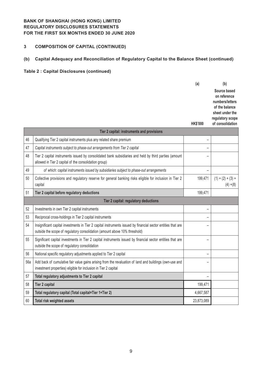# **3 COMPOSITION OF CAPITAL (CONTINUED)**

# **(b) Capital Adequacy and Reconciliation of Regulatory Capital to the Balance Sheet (continued)**

|     |                                                                                                                                                                                            | (a)                      | (b)                                                                                                      |
|-----|--------------------------------------------------------------------------------------------------------------------------------------------------------------------------------------------|--------------------------|----------------------------------------------------------------------------------------------------------|
|     |                                                                                                                                                                                            |                          | Source based<br>on reference<br>numbers/letters<br>of the balance<br>sheet under the<br>regulatory scope |
|     |                                                                                                                                                                                            | <b>HK\$'000</b>          | of consolidation                                                                                         |
|     | Tier 2 capital: instruments and provisions                                                                                                                                                 |                          |                                                                                                          |
| 46  | Qualifying Tier 2 capital instruments plus any related share premium                                                                                                                       |                          |                                                                                                          |
| 47  | Capital instruments subject to phase-out arrangements from Tier 2 capital                                                                                                                  |                          |                                                                                                          |
| 48  | Tier 2 capital instruments issued by consolidated bank subsidiaries and held by third parties (amount<br>allowed in Tier 2 capital of the consolidation group)                             |                          |                                                                                                          |
| 49  | of which: capital instruments issued by subsidiaries subject to phase-out arrangements                                                                                                     |                          |                                                                                                          |
| 50  | Collective provisions and regulatory reserve for general banking risks eligible for inclusion in Tier 2<br>capital                                                                         | 199,471                  | $(1) + (2) + (3) +$<br>$(4) + (8)$                                                                       |
| 51  | Tier 2 capital before regulatory deductions                                                                                                                                                | 199,471                  |                                                                                                          |
|     | Tier 2 capital: regulatory deductions                                                                                                                                                      |                          |                                                                                                          |
| 52  | Investments in own Tier 2 capital instruments                                                                                                                                              | $\overline{\phantom{0}}$ |                                                                                                          |
| 53  | Reciprocal cross-holdings in Tier 2 capital instruments                                                                                                                                    |                          |                                                                                                          |
| 54  | Insignificant capital investments in Tier 2 capital instruments issued by financial sector entities that are<br>outside the scope of regulatory consolidation (amount above 10% threshold) | −                        |                                                                                                          |
| 55  | Significant capital investments in Tier 2 capital instruments issued by financial sector entities that are<br>outside the scope of regulatory consolidation                                | -                        |                                                                                                          |
| 56  | National specific regulatory adjustments applied to Tier 2 capital                                                                                                                         | $\overline{a}$           |                                                                                                          |
| 56a | Add back of cumulative fair value gains arising from the revaluation of land and buildings (own-use and<br>investment properties) eligible for inclusion in Tier 2 capital                 | −                        |                                                                                                          |
| 57  | Total regulatory adjustments to Tier 2 capital                                                                                                                                             |                          |                                                                                                          |
| 58  | <b>Tier 2 capital</b>                                                                                                                                                                      | 199,471                  |                                                                                                          |
| 59  | Total regulatory capital (Total capital=Tier 1+Tier 2)                                                                                                                                     | 4,667,587                |                                                                                                          |
| 60  | Total risk weighted assets                                                                                                                                                                 | 23,873,089               |                                                                                                          |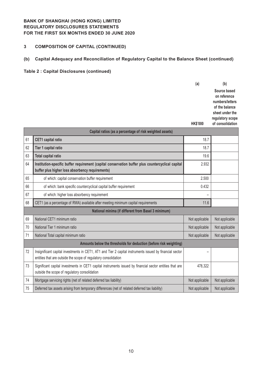# **3 COMPOSITION OF CAPITAL (CONTINUED)**

# **(b) Capital Adequacy and Reconciliation of Regulatory Capital to the Balance Sheet (continued)**

|    |                                                                                                                                                                             | (a)             | (b)                                  |
|----|-----------------------------------------------------------------------------------------------------------------------------------------------------------------------------|-----------------|--------------------------------------|
|    |                                                                                                                                                                             |                 | Source based<br>on reference         |
|    |                                                                                                                                                                             |                 | numbers/letters<br>of the balance    |
|    |                                                                                                                                                                             |                 | sheet under the                      |
|    |                                                                                                                                                                             | <b>HK\$'000</b> | regulatory scope<br>of consolidation |
|    | Capital ratios (as a percentage of risk weighted assets)                                                                                                                    |                 |                                      |
| 61 | <b>CET1</b> capital ratio                                                                                                                                                   | 18.7            |                                      |
| 62 | Tier 1 capital ratio                                                                                                                                                        | 18.7            |                                      |
| 63 | <b>Total capital ratio</b>                                                                                                                                                  | 19.6            |                                      |
| 64 | Institution-specific buffer requirement (capital conservation buffer plus countercyclical capital<br>buffer plus higher loss absorbency requirements)                       | 2.932           |                                      |
| 65 | of which: capital conservation buffer requirement                                                                                                                           | 2.500           |                                      |
| 66 | of which: bank specific countercyclical capital buffer requirement                                                                                                          | 0.432           |                                      |
| 67 | of which: higher loss absorbency requirement                                                                                                                                |                 |                                      |
| 68 | CET1 (as a percentage of RWA) available after meeting minimum capital requirements                                                                                          | 11.6            |                                      |
|    | National minima (if different from Basel 3 minimum)                                                                                                                         |                 |                                      |
| 69 | National CET1 minimum ratio                                                                                                                                                 | Not applicable  | Not applicable                       |
| 70 | National Tier 1 minimum ratio                                                                                                                                               | Not applicable  | Not applicable                       |
| 71 | National Total capital minimum ratio                                                                                                                                        | Not applicable  | Not applicable                       |
|    | Amounts below the thresholds for deduction (before risk weighting)                                                                                                          |                 |                                      |
| 72 | Insignificant capital investments in CET1, AT1 and Tier 2 capital instruments issued by financial sector<br>entities that are outside the scope of regulatory consolidation |                 |                                      |
| 73 | Significant capital investments in CET1 capital instruments issued by financial sector entities that are<br>outside the scope of regulatory consolidation                   | 478,322         |                                      |
| 74 | Mortgage servicing rights (net of related deferred tax liability)                                                                                                           | Not applicable  | Not applicable                       |
| 75 | Deferred tax assets arising from temporary differences (net of related deferred tax liability)                                                                              | Not applicable  | Not applicable                       |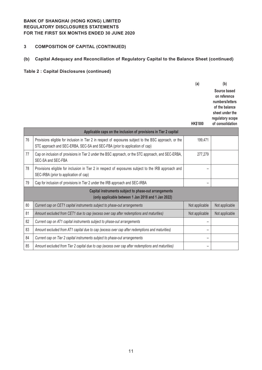# **3 COMPOSITION OF CAPITAL (CONTINUED)**

# **(b) Capital Adequacy and Reconciliation of Regulatory Capital to the Balance Sheet (continued)**

|    |                                                                                                                                                                                        | (a)             | (b)                                                                                                                          |
|----|----------------------------------------------------------------------------------------------------------------------------------------------------------------------------------------|-----------------|------------------------------------------------------------------------------------------------------------------------------|
|    |                                                                                                                                                                                        | <b>HK\$'000</b> | Source based<br>on reference<br>numbers/letters<br>of the balance<br>sheet under the<br>regulatory scope<br>of consolidation |
|    | Applicable caps on the inclusion of provisions in Tier 2 capital                                                                                                                       |                 |                                                                                                                              |
| 76 | Provisions eligible for inclusion in Tier 2 in respect of exposures subject to the BSC approach, or the<br>STC approach and SEC-ERBA, SEC-SA and SEC-FBA (prior to application of cap) | 199,471         |                                                                                                                              |
| 77 | Cap on inclusion of provisions in Tier 2 under the BSC approach, or the STC approach, and SEC-ERBA,<br>SEC-SA and SEC-FBA                                                              | 277,279         |                                                                                                                              |
| 78 | Provisions eligible for inclusion in Tier 2 in respect of exposures subject to the IRB approach and<br>SEC-IRBA (prior to application of cap)                                          |                 |                                                                                                                              |
| 79 | Cap for inclusion of provisions in Tier 2 under the IRB approach and SEC-IRBA                                                                                                          |                 |                                                                                                                              |
|    | Capital instruments subject to phase-out arrangements<br>(only applicable between 1 Jan 2018 and 1 Jan 2022)                                                                           |                 |                                                                                                                              |
| 80 | Current cap on CET1 capital instruments subject to phase-out arrangements                                                                                                              | Not applicable  | Not applicable                                                                                                               |
| 81 | Amount excluded from CET1 due to cap (excess over cap after redemptions and maturities)                                                                                                | Not applicable  | Not applicable                                                                                                               |
| 82 | Current cap on AT1 capital instruments subject to phase-out arrangements                                                                                                               |                 |                                                                                                                              |
| 83 | Amount excluded from AT1 capital due to cap (excess over cap after redemptions and maturities)                                                                                         |                 |                                                                                                                              |
| 84 | Current cap on Tier 2 capital instruments subject to phase-out arrangements                                                                                                            |                 |                                                                                                                              |
| 85 | Amount excluded from Tier 2 capital due to cap (excess over cap after redemptions and maturities)                                                                                      |                 |                                                                                                                              |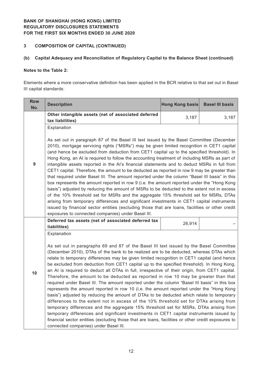# **3 COMPOSITION OF CAPITAL (CONTINUED)**

## **(b) Capital Adequacy and Reconciliation of Regulatory Capital to the Balance Sheet (continued)**

#### **Notes to the Table 2:**

Elements where a more conservative definition has been applied in the BCR relative to that set out in Basel III capital standards:

| <b>Row</b><br>No. | <b>Description</b>                                                                                                                                                                                                                                                                                                                                                                                                                                                                                                                                                                                                                                                                                                                                                                                                                                                                                                                                                                                                                                                                                                                                                                                                                                                                                         | Hong Kong basis | <b>Basel III basis</b> |  |  |
|-------------------|------------------------------------------------------------------------------------------------------------------------------------------------------------------------------------------------------------------------------------------------------------------------------------------------------------------------------------------------------------------------------------------------------------------------------------------------------------------------------------------------------------------------------------------------------------------------------------------------------------------------------------------------------------------------------------------------------------------------------------------------------------------------------------------------------------------------------------------------------------------------------------------------------------------------------------------------------------------------------------------------------------------------------------------------------------------------------------------------------------------------------------------------------------------------------------------------------------------------------------------------------------------------------------------------------------|-----------------|------------------------|--|--|
|                   | Other intangible assets (net of associated deferred<br>tax liabilities)                                                                                                                                                                                                                                                                                                                                                                                                                                                                                                                                                                                                                                                                                                                                                                                                                                                                                                                                                                                                                                                                                                                                                                                                                                    | 3,187           | 3,187                  |  |  |
| 9                 | Explanation<br>As set out in paragraph 87 of the Basel III text issued by the Basel Committee (December<br>2010), mortgage servicing rights ("MSRs") may be given limited recognition in CET1 capital<br>(and hence be excluded from deduction from CET1 capital up to the specified threshold). In<br>Hong Kong, an AI is required to follow the accounting treatment of including MSRs as part of<br>intangible assets reported in the AI's financial statements and to deduct MSRs in full from<br>CET1 capital. Therefore, the amount to be deducted as reported in row 9 may be greater than<br>that required under Basel III. The amount reported under the column "Basel III basis" in this<br>box represents the amount reported in row 9 (i.e. the amount reported under the "Hong Kong<br>basis") adjusted by reducing the amount of MSRs to be deducted to the extent not in excess<br>of the 10% threshold set for MSRs and the aggregate 15% threshold set for MSRs, DTAs<br>arising from temporary differences and significant investments in CET1 capital instruments<br>issued by financial sector entities (excluding those that are loans, facilities or other credit<br>exposures to connected companies) under Basel III.                                                              |                 |                        |  |  |
|                   | Deferred tax assets (net of associated deferred tax<br>liabilities)                                                                                                                                                                                                                                                                                                                                                                                                                                                                                                                                                                                                                                                                                                                                                                                                                                                                                                                                                                                                                                                                                                                                                                                                                                        | 26,914          |                        |  |  |
| 10                | Explanation<br>As set out in paragraphs 69 and 87 of the Basel III text issued by the Basel Committee<br>(December 2010), DTAs of the bank to be realized are to be deducted, whereas DTAs which<br>relate to temporary differences may be given limited recognition in CET1 capital (and hence<br>be excluded from deduction from CET1 capital up to the specified threshold). In Hong Kong,<br>an AI is required to deduct all DTAs in full, irrespective of their origin, from CET1 capital.<br>Therefore, the amount to be deducted as reported in row 10 may be greater than that<br>required under Basel III. The amount reported under the column "Basel III basis" in this box<br>represents the amount reported in row 10 (i.e. the amount reported under the "Hong Kong<br>basis") adjusted by reducing the amount of DTAs to be deducted which relate to temporary<br>differences to the extent not in excess of the 10% threshold set for DTAs arising from<br>temporary differences and the aggregate 15% threshold set for MSRs, DTAs arising from<br>temporary differences and significant investments in CET1 capital instruments issued by<br>financial sector entities (excluding those that are loans, facilities or other credit exposures to<br>connected companies) under Basel III. |                 |                        |  |  |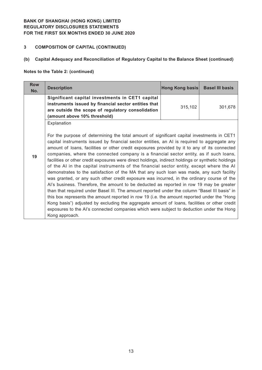# **3 COMPOSITION OF CAPITAL (CONTINUED)**

# **(b) Capital Adequacy and Reconciliation of Regulatory Capital to the Balance Sheet (continued)**

#### **Notes to the Table 2: (continued)**

| <b>Row</b><br>No. | <b>Description</b>                                                                                                                                                                                                                                                                                                                                                                                                                                                                                                                                                                                                                                                                                                                                                                                                                                                                                                                                                                                                                                                                                                                                                                                                                                                                                         | Hong Kong basis | <b>Basel III basis</b> |
|-------------------|------------------------------------------------------------------------------------------------------------------------------------------------------------------------------------------------------------------------------------------------------------------------------------------------------------------------------------------------------------------------------------------------------------------------------------------------------------------------------------------------------------------------------------------------------------------------------------------------------------------------------------------------------------------------------------------------------------------------------------------------------------------------------------------------------------------------------------------------------------------------------------------------------------------------------------------------------------------------------------------------------------------------------------------------------------------------------------------------------------------------------------------------------------------------------------------------------------------------------------------------------------------------------------------------------------|-----------------|------------------------|
|                   | Significant capital investments in CET1 capital<br>instruments issued by financial sector entities that<br>are outside the scope of regulatory consolidation<br>(amount above 10% threshold)                                                                                                                                                                                                                                                                                                                                                                                                                                                                                                                                                                                                                                                                                                                                                                                                                                                                                                                                                                                                                                                                                                               | 315,102         | 301,678                |
| 19                | Explanation<br>For the purpose of determining the total amount of significant capital investments in CET1<br>capital instruments issued by financial sector entities, an AI is required to aggregate any<br>amount of loans, facilities or other credit exposures provided by it to any of its connected<br>companies, where the connected company is a financial sector entity, as if such loans,<br>facilities or other credit exposures were direct holdings, indirect holdings or synthetic holdings<br>of the AI in the capital instruments of the financial sector entity, except where the AI<br>demonstrates to the satisfaction of the MA that any such loan was made, any such facility<br>was granted, or any such other credit exposure was incurred, in the ordinary course of the<br>Al's business. Therefore, the amount to be deducted as reported in row 19 may be greater<br>than that required under Basel III. The amount reported under the column "Basel III basis" in<br>this box represents the amount reported in row 19 (i.e. the amount reported under the "Hong"<br>Kong basis") adjusted by excluding the aggregate amount of loans, facilities or other credit<br>exposures to the AI's connected companies which were subject to deduction under the Hong<br>Kong approach. |                 |                        |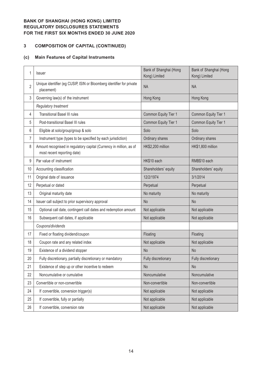# **COMPOSITION OF CAPITAL (CONTINUED)**

# **(c) Main Features of Capital Instruments**

| 1              | <b>Issuer</b>                                                                                      | Bank of Shanghai (Hong<br>Kong) Limited | Bank of Shanghai (Hong<br>Kong) Limited |
|----------------|----------------------------------------------------------------------------------------------------|-----------------------------------------|-----------------------------------------|
| $\overline{2}$ | Unique identifier (eg CUSIP, ISIN or Bloomberg identifier for private<br>placement)                | <b>NA</b>                               | <b>NA</b>                               |
| 3              | Governing law(s) of the instrument                                                                 | Hong Kong                               | Hong Kong                               |
|                | Regulatory treatment                                                                               |                                         |                                         |
| 4              | <b>Transitional Basel III rules</b>                                                                | Common Equity Tier 1                    | Common Equity Tier 1                    |
| 5              | Post-transitional Basel III rules                                                                  | Common Equity Tier 1                    | Common Equity Tier 1                    |
| 6              | Eligible at solo/group/group & solo                                                                | Solo                                    | Solo                                    |
| 7              | Instrument type (types to be specified by each jurisdiction)                                       | Ordinary shares                         | Ordinary shares                         |
| 8              | Amount recognised in regulatory capital (Currency in million, as of<br>most recent reporting date) | HK\$2,200 million                       | HK\$1,800 million                       |
| 9              | Par value of instrument                                                                            | HK\$10 each                             | RMB\$10 each                            |
| 10             | Accounting classification                                                                          | Shareholders' equity                    | Shareholders' equity                    |
| 11             | Original date of issuance                                                                          | 12/2/1974                               | 3/1/2014                                |
| 12             | Perpetual or dated                                                                                 | Perpetual                               | Perpetual                               |
| 13             | Original maturity date                                                                             | No maturity                             | No maturity                             |
| 14             | Issuer call subject to prior supervisory approval                                                  | <b>No</b>                               | <b>No</b>                               |
| 15             | Optional call date, contingent call dates and redemption amount                                    | Not applicable                          | Not applicable                          |
| 16             | Subsequent call dates, if applicable                                                               | Not applicable                          | Not applicable                          |
|                | Coupons/dividends                                                                                  |                                         |                                         |
| 17             | Fixed or floating dividend/coupon                                                                  | Floating                                | Floating                                |
| 18             | Coupon rate and any related index                                                                  | Not applicable                          | Not applicable                          |
| 19             | Existence of a dividend stopper                                                                    | <b>No</b>                               | <b>No</b>                               |
| 20             | Fully discretionary, partially discretionary or mandatory                                          | Fully discretionary                     | Fully discretionary                     |
| 21             | Existence of step up or other incentive to redeem                                                  | <b>No</b>                               | <b>No</b>                               |
| 22             | Noncumulative or cumulative                                                                        | Noncumulative                           | Noncumulative                           |
| 23             | Convertible or non-convertible                                                                     | Non-convertible                         | Non-convertible                         |
| 24             | If convertible, conversion trigger(s)                                                              | Not applicable                          | Not applicable                          |
| 25             | If convertible, fully or partially                                                                 | Not applicable                          | Not applicable                          |
| 26             | If convertible, conversion rate                                                                    | Not applicable                          | Not applicable                          |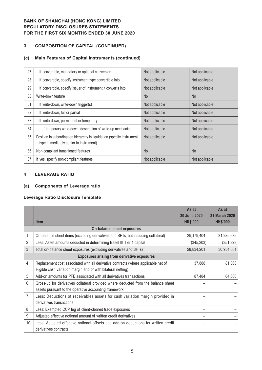# **3 COMPOSITION OF CAPITAL (CONTINUED)**

## **(c) Main Features of Capital Instruments (continued)**

| 27 | If convertible, mandatory or optional conversion                                                                 | Not applicable | Not applicable |
|----|------------------------------------------------------------------------------------------------------------------|----------------|----------------|
| 28 | If convertible, specify instrument type convertible into                                                         | Not applicable | Not applicable |
| 29 | If convertible, specify issuer of instrument it converts into                                                    | Not applicable | Not applicable |
| 30 | Write-down feature                                                                                               | <b>No</b>      | N <sub>o</sub> |
| 31 | If write-down, write-down trigger(s)                                                                             | Not applicable | Not applicable |
| 32 | If write-down, full or partial                                                                                   | Not applicable | Not applicable |
| 33 | If write-down, permanent or temporary                                                                            | Not applicable | Not applicable |
| 34 | If temporary write-down, description of write-up mechanism                                                       | Not applicable | Not applicable |
| 35 | Position in subordination hierarchy in liquidation (specify instrument<br>type immediately senior to instrument) | Not applicable | Not applicable |
| 36 | Non-compliant transitioned features                                                                              | <b>No</b>      | N <sub>o</sub> |
| 37 | If yes, specify non-compliant features                                                                           | Not applicable | Not applicable |

#### **4 LEVERAGE RATIO**

## **(a) Components of Leverage ratio**

#### **Leverage Ratio Disclosure Template**

|    |                                                                                    | As at<br>30 June 2020 | As at<br>31 March 2020 |
|----|------------------------------------------------------------------------------------|-----------------------|------------------------|
|    | <b>Item</b>                                                                        | <b>HK\$'000</b>       | <b>HK\$'000</b>        |
|    | <b>On-balance sheet exposures</b>                                                  |                       |                        |
|    | On-balance sheet items (excluding derivatives and SFTs, but including collateral)  | 29,179,404            | 31,285,689             |
| 2  | Less: Asset amounts deducted in determining Basel III Tier 1 capital               | (345, 203)            | (351, 328)             |
| 3  | Total on-balance sheet exposures (excluding derivatives and SFTs)                  | 28,834,201            | 30,934,361             |
|    | <b>Exposures arising from derivative exposures</b>                                 |                       |                        |
| 4  | Replacement cost associated with all derivative contracts (where applicable net of | 37,888                | 81,868                 |
|    | eligible cash variation margin and/or with bilateral netting)                      |                       |                        |
| 5  | Add-on amounts for PFE associated with all derivatives transactions                | 87,484                | 64,660                 |
| 6  | Gross-up for derivatives collateral provided where deducted from the balance sheet |                       |                        |
|    | assets pursuant to the operative accounting framework                              |                       |                        |
| 7  | Less: Deductions of receivables assets for cash variation margin provided in       |                       |                        |
|    | derivatives transactions                                                           |                       |                        |
| 8  | Less: Exempted CCP leg of client-cleared trade exposures                           |                       |                        |
| 9  | Adjusted effective notional amount of written credit derivatives                   |                       |                        |
| 10 | Less: Adjusted effective notional offsets and add-on deductions for written credit |                       |                        |
|    | derivatives contracts                                                              |                       |                        |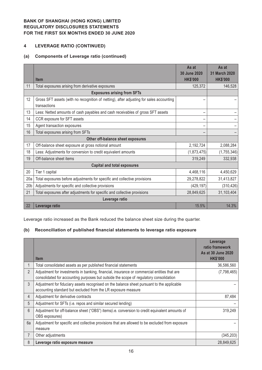## **4 LEVERAGE RATIO (CONTINUED)**

## **(a) Components of Leverage ratio (continued)**

|                                   |                                                                                                         | As at<br>30 June 2020 | As at<br>31 March 2020 |  |  |
|-----------------------------------|---------------------------------------------------------------------------------------------------------|-----------------------|------------------------|--|--|
|                                   | <b>Item</b>                                                                                             | <b>HK\$'000</b>       | <b>HK\$'000</b>        |  |  |
| 11                                | Total exposures arising from derivative exposures                                                       | 125,372               | 146,528                |  |  |
|                                   | <b>Exposures arising from SFTs</b>                                                                      |                       |                        |  |  |
| 12                                | Gross SFT assets (with no recognition of netting), after adjusting for sales accounting<br>transactions |                       |                        |  |  |
| 13                                | Less: Netted amounts of cash payables and cash receivables of gross SFT assets                          |                       |                        |  |  |
| 14                                | CCR exposure for SFT assets                                                                             |                       |                        |  |  |
| 15                                | Agent transaction exposures                                                                             |                       |                        |  |  |
| 16                                | Total exposures arising from SFTs                                                                       |                       |                        |  |  |
| Other off-balance sheet exposures |                                                                                                         |                       |                        |  |  |
| 17                                | Off-balance sheet exposure at gross notional amount                                                     | 2,192,724             | 2,088,284              |  |  |
| 18                                | Less: Adjustments for conversion to credit equivalent amounts                                           | (1,873,475)           | (1,755,346)            |  |  |
| 19                                | Off-balance sheet items                                                                                 | 319,249               | 332,938                |  |  |
|                                   | <b>Capital and total exposures</b>                                                                      |                       |                        |  |  |
| 20                                | Tier 1 capital                                                                                          | 4,468,116             | 4,450,629              |  |  |
| 20a                               | Total exposures before adjustments for specific and collective provisions                               | 29,278,822            | 31,413,827             |  |  |
| 20 <sub>b</sub>                   | Adjustments for specific and collective provisions                                                      | (429, 197)            | (310, 426)             |  |  |
| 21                                | Total exposures after adjustments for specific and collective provisions                                | 28,849,625            | 31,103,404             |  |  |
|                                   | Leverage ratio                                                                                          |                       |                        |  |  |
| 22                                | Leverage ratio                                                                                          | 15.5%                 | 14.3%                  |  |  |

Leverage ratio increased as the Bank reduced the balance sheet size during the quarter.

# **(b) Reconciliation of published financial statements to leverage ratio exposure**

|                |                                                                                                                                                                                       | Leverage<br>ratio framework<br>As at 30 June 2020 |
|----------------|---------------------------------------------------------------------------------------------------------------------------------------------------------------------------------------|---------------------------------------------------|
|                | <b>Item</b>                                                                                                                                                                           | <b>HK\$'000</b>                                   |
|                | Total consolidated assets as per published financial statements                                                                                                                       | 36,586,560                                        |
| 2              | Adjustment for investments in banking, financial, insurance or commercial entities that are<br>consolidated for accounting purposes but outside the scope of regulatory consolidation | (7,798,465)                                       |
| $\mathfrak{Z}$ | Adjustment for fiduciary assets recognised on the balance sheet pursuant to the applicable<br>accounting standard but excluded from the LR exposure measure                           |                                                   |
| 4              | Adjustment for derivative contracts                                                                                                                                                   | 87,484                                            |
| 5              | Adjustment for SFTs (i.e. repos and similar secured lending)                                                                                                                          |                                                   |
| 6              | Adjustment for off-balance sheet ("OBS") items(i.e. conversion to credit equivalent amounts of<br>OBS exposures)                                                                      | 319,249                                           |
| 6a             | Adjustment for specific and collective provisions that are allowed to be excluded from exposure<br>measure                                                                            |                                                   |
| 7              | Other adjustments                                                                                                                                                                     | (345, 203)                                        |
| 8              | Leverage ratio exposure measure                                                                                                                                                       | 28,849,625                                        |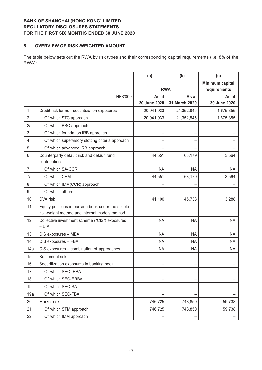#### **5 OVERVIEW OF RISK-WEIGHTED AMOUNT**

The table below sets out the RWA by risk types and their corresponding capital requirements (i.e. 8% of the RWA):

|                |                                                                                                    | (a)          | (b)           | (c)                             |
|----------------|----------------------------------------------------------------------------------------------------|--------------|---------------|---------------------------------|
|                |                                                                                                    | <b>RWA</b>   |               | Minimum capital<br>requirements |
|                | HK\$'000                                                                                           | As at        | As at         | As at                           |
|                |                                                                                                    | 30 June 2020 | 31 March 2020 | 30 June 2020                    |
| 1              | Credit risk for non-securitization exposures                                                       | 20,941,933   | 21,352,845    | 1,675,355                       |
| 2              | Of which STC approach                                                                              | 20,941,933   | 21,352,845    | 1,675,355                       |
| 2a             | Of which BSC approach                                                                              |              |               |                                 |
| 3              | Of which foundation IRB approach                                                                   |              |               |                                 |
| 4              | Of which supervisory slotting criteria approach                                                    |              |               |                                 |
| 5              | Of which advanced IRB approach                                                                     |              |               |                                 |
| 6              | Counterparty default risk and default fund<br>contributions                                        | 44,551       | 63,179        | 3,564                           |
| $\overline{7}$ | Of which SA-CCR                                                                                    | <b>NA</b>    | <b>NA</b>     | NA                              |
| 7a             | Of which CEM                                                                                       | 44,551       | 63,179        | 3,564                           |
| 8              | Of which IMM(CCR) approach                                                                         |              |               |                                 |
| $9\,$          | Of which others                                                                                    |              |               |                                 |
| 10             | CVA risk                                                                                           | 41,100       | 45,738        | 3,288                           |
| 11             | Equity positions in banking book under the simple<br>risk-weight method and internal models method |              |               |                                 |
| 12             | Collective investment scheme ("CIS") exposures<br>$-LTA$                                           | <b>NA</b>    | <b>NA</b>     | <b>NA</b>                       |
| 13             | CIS exposures - MBA                                                                                | <b>NA</b>    | <b>NA</b>     | <b>NA</b>                       |
| 14             | CIS exposures - FBA                                                                                | <b>NA</b>    | <b>NA</b>     | <b>NA</b>                       |
| 14a            | CIS exposures - combination of approaches                                                          | <b>NA</b>    | <b>NA</b>     | <b>NA</b>                       |
| 15             | Settlement risk                                                                                    |              |               |                                 |
| 16             | Securitization exposures in banking book                                                           |              |               |                                 |
| 17             | Of which SEC-IRBA                                                                                  |              |               |                                 |
| 18             | Of which SEC-ERBA                                                                                  |              |               |                                 |
| 19             | Of which SEC-SA                                                                                    |              |               |                                 |
| 19a            | Of which SEC-FBA                                                                                   |              |               |                                 |
| 20             | Market risk                                                                                        | 746,725      | 748,850       | 59,738                          |
| 21             | Of which STM approach                                                                              | 746,725      | 748,850       | 59,738                          |
| 22             | Of which IMM approach                                                                              |              |               |                                 |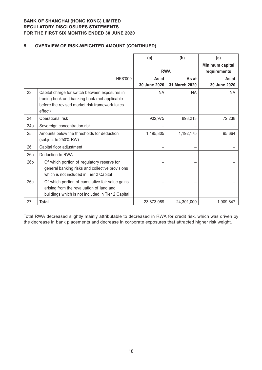## **5 OVERVIEW OF RISK-WEIGHTED AMOUNT (CONTINUED)**

|                 |                                                                                                                                                              | (a)                   | (b)                    | (c)                             |
|-----------------|--------------------------------------------------------------------------------------------------------------------------------------------------------------|-----------------------|------------------------|---------------------------------|
|                 |                                                                                                                                                              | <b>RWA</b>            |                        | Minimum capital<br>requirements |
|                 | HK\$'000                                                                                                                                                     | As at<br>30 June 2020 | As at<br>31 March 2020 | As at<br>30 June 2020           |
| 23              | Capital charge for switch between exposures in<br>trading book and banking book (not applicable<br>before the revised market risk framework takes<br>effect) | NA.                   | NA.                    | <b>NA</b>                       |
| 24              | Operational risk                                                                                                                                             | 902,975               | 898,213                | 72,238                          |
| 24a             | Sovereign concentration risk                                                                                                                                 |                       |                        |                                 |
| 25              | Amounts below the thresholds for deduction<br>(subject to 250% RW)                                                                                           | 1,195,805             | 1,192,175              | 95,664                          |
| 26              | Capital floor adjustment                                                                                                                                     |                       |                        |                                 |
| 26a             | Deduction to RWA                                                                                                                                             |                       |                        |                                 |
| 26 <sub>b</sub> | Of which portion of regulatory reserve for<br>general banking risks and collective provisions<br>which is not included in Tier 2 Capital                     |                       |                        |                                 |
| 26c             | Of which portion of cumulative fair value gains<br>arising from the revaluation of land and<br>buildings which is not included in Tier 2 Capital             |                       |                        |                                 |
| 27              | <b>Total</b>                                                                                                                                                 | 23,873,089            | 24,301,000             | 1,909,847                       |

Total RWA decreased slightly mainly attributable to decreased in RWA for credit risk, which was driven by the decrease in bank placements and decrease in corporate exposures that attracted higher risk weight.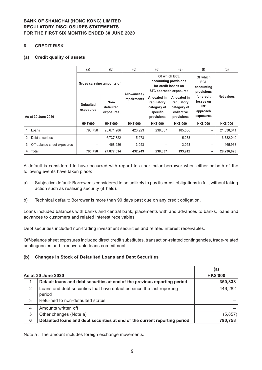#### **6 CREDIT RISK**

#### **(a) Credit quality of assets**

|   |                             | (a)                           | (b)                            | (c)             | (d)                                                                        | (e)                                                                            | (f)                                                            | (g)             |
|---|-----------------------------|-------------------------------|--------------------------------|-----------------|----------------------------------------------------------------------------|--------------------------------------------------------------------------------|----------------------------------------------------------------|-----------------|
|   |                             | Gross carrying amounts of     |                                | Allowances /    | Of which ECL                                                               | accounting provisions<br>for credit losses on<br><b>STC approach exposures</b> | Of which<br>ECL<br>accounting<br>provisions                    |                 |
|   | As at 30 June 2020          | <b>Defaulted</b><br>exposures | Non-<br>defaulted<br>exposures | impairments     | <b>Allocated in</b><br>regulatory<br>category of<br>specific<br>provisions | <b>Allocated in</b><br>regulatory<br>category of<br>collective<br>provisions   | for credit<br>losses on<br><b>IRB</b><br>approach<br>exposures | Net values      |
|   |                             | <b>HK\$'000</b>               | <b>HK\$'000</b>                | <b>HK\$'000</b> | <b>HK\$'000</b>                                                            | <b>HK\$'000</b>                                                                | <b>HK\$'000</b>                                                | <b>HK\$'000</b> |
|   | Loans                       | 790,758                       | 20,671,206                     | 423,923         | 238,337                                                                    | 185,586                                                                        | $\qquad \qquad -$                                              | 21,038,041      |
| 2 | Debt securities             |                               | 6,737,322                      | 5,273           |                                                                            | 5,273                                                                          | —                                                              | 6,732,049       |
| 3 | Off-balance sheet exposures | $\qquad \qquad$               | 468,986                        | 3,053           | $\overline{\phantom{m}}$                                                   | 3,053                                                                          | $\overline{\phantom{m}}$                                       | 465,933         |
| 4 | <b>Total</b>                | 790,758                       | 27,877,514                     | 432,249         | 238,337                                                                    | 193,912                                                                        | -                                                              | 28,236,023      |

A default is considered to have occurred with regard to a particular borrower when either or both of the following events have taken place:

- a) Subjective default: Borrower is considered to be unlikely to pay its credit obligations in full, without taking action such as realising security (if held).
- b) Technical default: Borrower is more than 90 days past due on any credit obligation.

Loans included balances with banks and central bank, placements with and advances to banks, loans and advances to customers and related interest receivables.

Debt securities included non-trading investment securities and related interest receivables.

Off-balance sheet exposures included direct credit substitutes, transaction-related contingencies, trade-related contingencies and irrecoverable loans commitment.

#### **(b) Changes in Stock of Defaulted Loans and Debt Securities**

|                |                                                                                  | <b>a</b>        |
|----------------|----------------------------------------------------------------------------------|-----------------|
|                | As at 30 June 2020                                                               | <b>HK\$'000</b> |
|                | Default loans and debt securities at end of the previous reporting period        | 350,333         |
| 2              | Loans and debt securities that have defaulted since the last reporting<br>period | 446,282         |
| 3              | Returned to non-defaulted status                                                 |                 |
| $\overline{4}$ | Amounts written off                                                              |                 |
| 5              | Other changes (Note a)                                                           | (5, 857)        |
| 6              | Defaulted loans and debt securities at end of the current reporting period       | 790,758         |

Note a : The amount includes foreign exchange movements.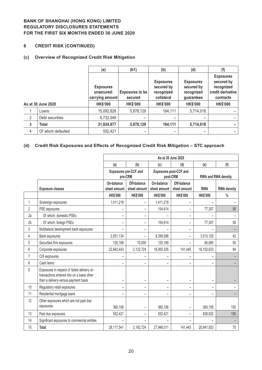## **6 CREDIT RISK (CONTINUED)**

## **(c) Overview of Recognized Credit Risk Mitigation**

|                |                    | (a)                                               | (b1)                       | (b)                                                        | (d)                                                        | (f)                                                                            |
|----------------|--------------------|---------------------------------------------------|----------------------------|------------------------------------------------------------|------------------------------------------------------------|--------------------------------------------------------------------------------|
|                |                    | <b>Exposures</b><br>unsecured:<br>carrying amount | Exposures to be<br>secured | <b>Exposures</b><br>secured by<br>recognized<br>collateral | <b>Exposures</b><br>secured by<br>recognized<br>guarantees | <b>Exposures</b><br>secured by<br>recognized<br>credit derivative<br>contracts |
|                | As at 30 June 2020 | <b>HK\$'000</b>                                   | <b>HK\$'000</b>            | <b>HK\$'000</b>                                            | <b>HK\$'000</b>                                            | <b>HK\$'000</b>                                                                |
|                | Loans              | 15,092,828                                        | 5,878,129                  | 164,111                                                    | 5,714,018                                                  |                                                                                |
| $\overline{2}$ | Debt securities    | 6,732,049                                         |                            |                                                            | -                                                          |                                                                                |
| $\mathbf{3}$   | <b>Total</b>       | 21,824,877                                        | 5,878,129                  | 164,111                                                    | 5,714,018                                                  |                                                                                |
| 4              | Of which defaulted | 552,421                                           | -                          |                                                            | -                                                          |                                                                                |

# **(d) Credit Risk Exposures and Effects of Recognized Credit Risk Mitigation – STC approach**

|                |                                                                                                                                  |                            |                                                                               |                            | As at 30 June 2020          |                 |                     |
|----------------|----------------------------------------------------------------------------------------------------------------------------------|----------------------------|-------------------------------------------------------------------------------|----------------------------|-----------------------------|-----------------|---------------------|
|                |                                                                                                                                  | (a)                        | (b)                                                                           | (c)                        | (d)                         | (e)             | (f)                 |
|                |                                                                                                                                  |                            | Exposures pre-CCF and<br><b>Exposures post-CCF and</b><br>pre-CRM<br>post-CRM |                            |                             |                 | RWA and RWA density |
|                | <b>Exposure classes</b>                                                                                                          | On-balance<br>sheet amount | Off-balance<br>sheet amount                                                   | On-balance<br>sheet amount | Off-balance<br>sheet amount | <b>RWA</b>      | <b>RWA density</b>  |
|                |                                                                                                                                  | <b>HK\$'000</b>            | <b>HK\$'000</b>                                                               | <b>HK\$'000</b>            | <b>HK\$'000</b>             | <b>HK\$'000</b> | $\%$                |
| 1              | Sovereign exposures                                                                                                              | 1,411,218                  | $\overline{\phantom{0}}$                                                      | 1,411,218                  | -                           |                 |                     |
| $\overline{2}$ | PSE exposures                                                                                                                    |                            | $\overline{\phantom{0}}$                                                      | 154,614                    | -                           | 77,307          | 50                  |
| 2a             | Of which: domestic PSEs                                                                                                          | -                          | -                                                                             |                            | -                           |                 |                     |
| 2 <sub>b</sub> | Of which: foreign PSEs                                                                                                           | -                          | -                                                                             | 154,614                    | -                           | 77,307          | 50                  |
| 3              | Multilateral development bank exposures                                                                                          |                            |                                                                               |                            | -                           |                 |                     |
| 4              | Bank exposures                                                                                                                   | 2,831,134                  | -                                                                             | 8,399,098                  | -                           | 3,513,120       | 42                  |
| 5              | Securities firm exposures                                                                                                        | 120,169                    | 70,000                                                                        | 120,169                    |                             | 60,085          | 50                  |
| 6              | Corporate exposures                                                                                                              | 22,842,443                 | 2,122,724                                                                     | 16,950,335                 | 141,445                     | 16,102,633      | 94                  |
| $\overline{7}$ | CIS exposures                                                                                                                    |                            |                                                                               |                            |                             |                 |                     |
| 8              | Cash items                                                                                                                       |                            |                                                                               | $\overline{\phantom{0}}$   |                             |                 |                     |
| 9              | Exposures in respect of failed delivery on<br>transactions entered into on a basis other<br>than a delivery-versus-payment basis | $\overline{\phantom{0}}$   | -                                                                             | $\overline{\phantom{m}}$   | -                           |                 |                     |
| 10             | Regulatory retail exposures                                                                                                      | $\overline{\phantom{0}}$   | $\overline{\phantom{0}}$                                                      | $\overline{\phantom{m}}$   | Ξ.                          |                 |                     |
| 11             | Residential mortgage loans                                                                                                       | -                          | -                                                                             | $\qquad \qquad -$          | -                           |                 |                     |
| 12             | Other exposures which are not past due<br>exposures                                                                              | 360,156                    |                                                                               | 360,156                    |                             | 360,156         | 100                 |
| 13             | Past due exposures                                                                                                               | 552,421                    | -                                                                             | 552,421                    |                             | 828,632         | 150                 |
| 14             | Significant exposures to commercial entities                                                                                     |                            |                                                                               |                            |                             |                 |                     |
| 15             | Total                                                                                                                            | 28,117,541                 | 2,192,724                                                                     | 27,948,011                 | 141,445                     | 20,941,933      | 75                  |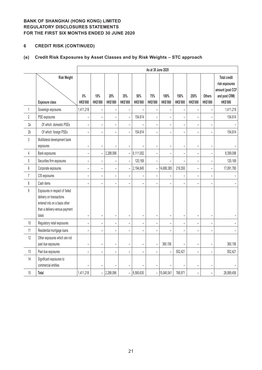# **6 CREDIT RISK (CONTINUED)**

# **(e) Credit Risk Exposures by Asset Classes and by Risk Weights – STC approach**

|                |                                                                                                                                        |                          |                              |                              |                          |                          | As at 30 June 2020       |                          |                         |                          |                                  |                                                                                               |
|----------------|----------------------------------------------------------------------------------------------------------------------------------------|--------------------------|------------------------------|------------------------------|--------------------------|--------------------------|--------------------------|--------------------------|-------------------------|--------------------------|----------------------------------|-----------------------------------------------------------------------------------------------|
|                | <b>Risk Weight</b><br><b>Exposure class</b>                                                                                            | $0\%$<br><b>HK\$'000</b> | 10%<br>HK\$'000              | 20%<br>HK\$'000              | 35%<br>HK\$'000          | 50%<br><b>HK\$'000</b>   | 75%<br><b>HK\$'000</b>   | 100%<br>HK\$'000         | 150%<br><b>HK\$'000</b> | 250%<br><b>HK\$'000</b>  | <b>Others</b><br><b>HK\$'000</b> | <b>Total credit</b><br>risk exposures<br>amount (post CCF<br>and post CRM)<br><b>HK\$'000</b> |
| 1              | Sovereign exposures                                                                                                                    | 1,411,218                | $\overline{\phantom{0}}$     |                              |                          |                          | ÷                        |                          |                         |                          |                                  | 1,411,218                                                                                     |
| $\overline{2}$ | PSE exposures                                                                                                                          | -                        | $\qquad \qquad \blacksquare$ | $\qquad \qquad \blacksquare$ | $\overline{\phantom{0}}$ | 154,614                  | $\overline{\phantom{0}}$ | $\overline{\phantom{a}}$ | -                       | $\overline{\phantom{0}}$ |                                  | 154,614                                                                                       |
| 2a             | Of which: domestic PSEs                                                                                                                | $\overline{\phantom{0}}$ | $\overline{\phantom{a}}$     | $\overline{\phantom{a}}$     | $\overline{\phantom{0}}$ |                          | ÷,                       | -                        | L,                      |                          |                                  |                                                                                               |
| 2 <sub>b</sub> | Of which: foreign PSEs                                                                                                                 | $\overline{a}$           | $\overline{a}$               | $\overline{a}$               |                          | 154,614                  | $\overline{a}$           |                          | L,                      | L,                       |                                  | 154,614                                                                                       |
| 3              | Multilateral development bank<br>exposures                                                                                             | $\overline{a}$           | $\overline{\phantom{a}}$     |                              |                          |                          | -                        | L                        | Ξ                       |                          | $\overline{\phantom{0}}$         |                                                                                               |
| 4              | Bank exposures                                                                                                                         | $\overline{a}$           | $\overline{\phantom{0}}$     | 2,288,096                    | $\overline{a}$           | 6,111,002                | $\overline{a}$           | $\overline{a}$           | $\overline{a}$          | $\overline{a}$           |                                  | 8,399,098                                                                                     |
| 5              | Securities firm exposures                                                                                                              | $\overline{\phantom{0}}$ | $\overline{a}$               | $\overline{\phantom{a}}$     | $\overline{a}$           | 120,169                  | $\qquad \qquad -$        | $\overline{a}$           | L,                      | $\overline{a}$           | -                                | 120,169                                                                                       |
| 6              | Corporate exposures                                                                                                                    | $\overline{a}$           | $\overline{\phantom{0}}$     | $\overline{\phantom{a}}$     | $\bar{\phantom{a}}$      | 2,194,845                | $\overline{a}$           | 14,680,385               | 216,550                 | $\overline{a}$           | ÷                                | 17,091,780                                                                                    |
| $\overline{7}$ | CIS exposures                                                                                                                          | -                        | $\overline{\phantom{0}}$     | $\overline{\phantom{0}}$     |                          |                          | $\overline{\phantom{0}}$ |                          |                         | L,                       |                                  |                                                                                               |
| 8              | Cash items                                                                                                                             | $\overline{\phantom{0}}$ | $\overline{a}$               | $\overline{\phantom{a}}$     | $\equiv$                 |                          | $\qquad \qquad -$        | ÷                        | L.                      | ÷                        |                                  |                                                                                               |
| $\mathfrak g$  | Exposures in respect of failed<br>delivery on transactions<br>entered into on a basis other<br>than a delivery-versus-payment<br>basis | -                        | $\overline{\phantom{0}}$     | -                            | $\overline{\phantom{0}}$ | $\overline{\phantom{0}}$ | $\overline{\phantom{0}}$ | -                        | -                       | $\overline{\phantom{0}}$ |                                  |                                                                                               |
| $10\,$         | Regulatory retail exposures                                                                                                            | $\overline{\phantom{0}}$ | $\overline{a}$               | $\overline{\phantom{a}}$     | $\overline{a}$           | $\overline{\phantom{0}}$ | $\overline{a}$           | $\overline{a}$           | $\overline{a}$          |                          |                                  |                                                                                               |
| 11             | Residential mortgage loans                                                                                                             | $\overline{\phantom{0}}$ | L.                           | $\overline{\phantom{0}}$     |                          |                          | $\overline{\phantom{0}}$ |                          | $\overline{a}$          | ÷                        |                                  |                                                                                               |
| 12             | Other exposures which are not<br>past due exposures                                                                                    | -                        | $\overline{\phantom{0}}$     | $\overline{\phantom{a}}$     |                          | $\overline{\phantom{0}}$ | $\frac{1}{2}$            | 360,156                  |                         |                          |                                  | 360,156                                                                                       |
| 13             | Past due exposures                                                                                                                     |                          | $\overline{\phantom{0}}$     | $\overline{\phantom{0}}$     |                          |                          | -                        | $\overline{\phantom{0}}$ | 552,421                 |                          |                                  | 552,421                                                                                       |
| 14             | Significant exposures to<br>commercial entities                                                                                        |                          |                              |                              |                          |                          | L,                       |                          |                         | $\overline{\phantom{0}}$ |                                  |                                                                                               |
| 15             | <b>Total</b>                                                                                                                           | 1,411,218                | $\equiv$                     | 2,288,096                    | -                        | 8,580,630                | $\qquad \qquad -$        | 15,040,541               | 768,971                 | $\overline{a}$           | ÷                                | 28,089,456                                                                                    |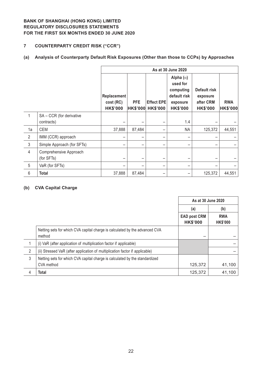# **7 COUNTERPARTY CREDIT RISK ("CCR")**

# **(a) Analysis of Counterparty Default Risk Exposures (Other than those to CCPs) by Approaches**

|                |                                      | As at 30 June 2020                          |                               |                                      |                                                                                          |                                                          |                               |  |  |
|----------------|--------------------------------------|---------------------------------------------|-------------------------------|--------------------------------------|------------------------------------------------------------------------------------------|----------------------------------------------------------|-------------------------------|--|--|
|                |                                      | Replacement<br>cost (RC)<br><b>HK\$'000</b> | <b>PFE</b><br><b>HK\$'000</b> | <b>Effect EPE</b><br><b>HK\$'000</b> | Alpha $(\alpha)$<br>used for<br>computing<br>default risk<br>exposure<br><b>HK\$'000</b> | Default risk<br>exposure<br>after CRM<br><b>HK\$'000</b> | <b>RWA</b><br><b>HK\$'000</b> |  |  |
| 1              | SA - CCR (for derivative             |                                             |                               |                                      |                                                                                          |                                                          |                               |  |  |
|                | contracts)                           |                                             |                               |                                      | 1.4                                                                                      |                                                          |                               |  |  |
| 1a             | <b>CEM</b>                           | 37,888                                      | 87,484                        |                                      | <b>NA</b>                                                                                | 125,372                                                  | 44,551                        |  |  |
| $\overline{2}$ | IMM (CCR) approach                   |                                             |                               |                                      |                                                                                          |                                                          |                               |  |  |
| $\mathfrak{Z}$ | Simple Approach (for SFTs)           |                                             |                               |                                      |                                                                                          |                                                          |                               |  |  |
| $\overline{4}$ | Comprehensive Approach<br>(for SFTs) |                                             |                               |                                      |                                                                                          |                                                          |                               |  |  |
| 5              | VaR (for SFTs)                       |                                             |                               |                                      |                                                                                          |                                                          |                               |  |  |
| 6              | <b>Total</b>                         | 37,888                                      | 87,484                        |                                      |                                                                                          | 125,372                                                  | 44,551                        |  |  |

#### **(b) CVA Capital Charge**

|   |                                                                                       | As at 30 June 2020                     |                               |
|---|---------------------------------------------------------------------------------------|----------------------------------------|-------------------------------|
|   |                                                                                       | (a)                                    | (b)                           |
|   |                                                                                       | <b>EAD post CRM</b><br><b>HK\$'000</b> | <b>RWA</b><br><b>HK\$'000</b> |
|   | Netting sets for which CVA capital charge is calculated by the advanced CVA<br>method |                                        |                               |
|   | (i) VaR (after application of multiplication factor if applicable)                    |                                        |                               |
| 2 | (ii) Stressed VaR (after application of multiplication factor if applicable)          |                                        |                               |
| 3 | Netting sets for which CVA capital charge is calculated by the standardized           |                                        |                               |
|   | CVA method                                                                            | 125,372                                | 41,100                        |
| 4 | Total                                                                                 | 125,372                                | 41,100                        |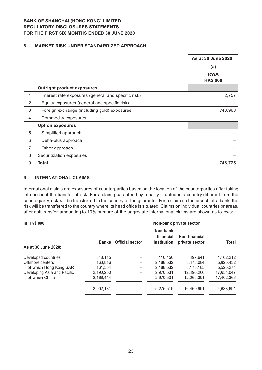#### **8 MARKET RISK UNDER STANDARDIZED APPROACH**

|                |                                                     | As at 30 June 2020 |
|----------------|-----------------------------------------------------|--------------------|
|                |                                                     | (a)                |
|                |                                                     | <b>RWA</b>         |
|                |                                                     | <b>HK\$'000</b>    |
|                | <b>Outright product exposures</b>                   |                    |
| 1              | Interest rate exposures (general and specific risk) | 2,757              |
| $\overline{2}$ | Equity exposures (general and specific risk)        |                    |
| $\sqrt{3}$     | Foreign exchange (including gold) exposures         | 743,968            |
| 4              | Commodity exposures                                 |                    |
|                | <b>Option exposures</b>                             |                    |
| 5              | Simplified approach                                 |                    |
| 6              | Delta-plus approach                                 |                    |
| $\overline{7}$ | Other approach                                      |                    |
| 8              | Securitization exposures                            |                    |
| $9\,$          | <b>Total</b>                                        | 746,725            |

#### **9 INTERNATIONAL CLAIMS**

International claims are exposures of counterparties based on the location of the counterparties after taking into account the transfer of risk. For a claim guaranteed by a party situated in a country different from the counterparty, risk will be transferred to the country of the guarantor. For a claim on the branch of a bank, the risk will be transferred to the country where its head office is situated. Claims on individual countries or areas, after risk transfer, amounting to 10% or more of the aggregate international claims are shown as follows:

| <b>In HK\$'000</b>          |              |                        | Non-bank private sector              |                                 |            |
|-----------------------------|--------------|------------------------|--------------------------------------|---------------------------------|------------|
| As at 30 June 2020:         | <b>Banks</b> | <b>Official sector</b> | Non-bank<br>financial<br>institution | Non-financial<br>private sector | Total      |
| Developed countries         | 548.115      |                        | 116,456                              | 497.641                         | 1,162,212  |
| Offshore centers            | 163,816      |                        | 2,188,532                            | 3.473.084                       | 5,825,432  |
| of which Hong Kong SAR      | 161.554      |                        | 2.188.532                            | 3,175,185                       | 5.525.271  |
| Developing Asia and Pacific | 2,190,250    |                        | 2.970.531                            | 12.490.266                      | 17,651,047 |
| of which China              | 2,166,444    |                        | 2.970.531                            | 12.265.391                      | 17,402,366 |
|                             | 2,902,181    |                        | 5.275.519                            | 16.460.991                      | 24,638,691 |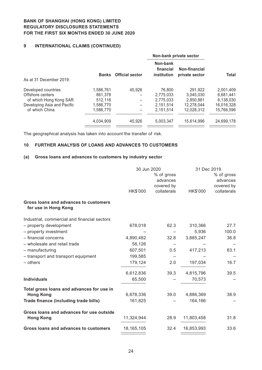## **9 INTERNATIONAL CLAIMS (CONTINUED)**

|                             |              |                        |                                             | Non-bank private sector         |              |  |
|-----------------------------|--------------|------------------------|---------------------------------------------|---------------------------------|--------------|--|
|                             | <b>Banks</b> | <b>Official sector</b> | Non-bank<br>financial<br><b>institution</b> | Non-financial<br>private sector | <b>Total</b> |  |
| As at 31 December 2019:     |              |                        |                                             |                                 |              |  |
| Developed countries         | 1.586.761    | 45.926                 | 76,800                                      | 291.922                         | 2.001.409    |  |
| Offshore centers            | 861.378      |                        | 2,775,033                                   | 3.045.030                       | 6,681,441    |  |
| of which Hong Kong SAR      | 512.116      |                        | 2.775.033                                   | 2.850.881                       | 6,138,030    |  |
| Developing Asia and Pacific | 1,586,770    |                        | 2.151.514                                   | 12.278.044                      | 16,016,328   |  |
| of which China              | 1,586,770    |                        | 2.151.514                                   | 12.028.312                      | 15,766,596   |  |
|                             | 4,034,909    | 45.926                 | 5.003.347                                   | 15,614,996                      | 24,699,178   |  |
|                             |              |                        |                                             |                                 |              |  |

The geographical analysis has taken into account the transfer of risk.

#### **10 FURTHER ANALYSIS OF LOANS AND ADVANCES TO CUSTOMERS**

## **(a) Gross loans and advances to customers by industry sector**

|                                                               | 30 Jun 2020  |             | 31 Dec 2019 |             |
|---------------------------------------------------------------|--------------|-------------|-------------|-------------|
|                                                               |              | % of gross  |             | % of gross  |
|                                                               |              | advances    |             | advances    |
|                                                               |              | covered by  |             | covered by  |
|                                                               | HK\$'000     | collaterals | HK\$'000    | collaterals |
| Gross loans and advances to customers<br>for use in Hong Kong |              |             |             |             |
| Industrial, commercial and financial sectors                  |              |             |             |             |
| - property development                                        | 678,018      | 62.3        | 310,366     | 27.7        |
| - property investment                                         |              |             | 5,936       | 100.0       |
| - financial concerns                                          | 4,890,482    | 32.8        | 3,885,247   | 36.8        |
| - wholesale and retail trade                                  | 58,126       |             |             |             |
| - manufacturing                                               | 607,501      | 0.5         | 417,213     | 83.1        |
| - transport and transport equipment                           | 199,585      |             |             |             |
| $-$ others                                                    | 179,124      | 2.0         | 197,034     | 16.7        |
|                                                               | 6,612,836    | 39.3        | 4,815,796   | 39.5        |
| <b>Individuals</b>                                            | 65,500       |             | 70,573      |             |
| Total gross loans and advances for use in                     |              |             |             |             |
| <b>Hong Kong</b>                                              | 6,678,336    | 39.0        | 4,886,369   | 38.9        |
| Trade finance (including trade bills)                         | 161,825      |             | 164,166     |             |
| Gross loans and advances for use outside                      |              |             |             |             |
| <b>Hong Kong</b>                                              | 11,324,944   | 28.9        | 11,803,458  | 31.8        |
| Gross loans and advances to customers                         | 18, 165, 105 | 32.4        | 16,853,993  | 33.6        |
|                                                               |              |             |             |             |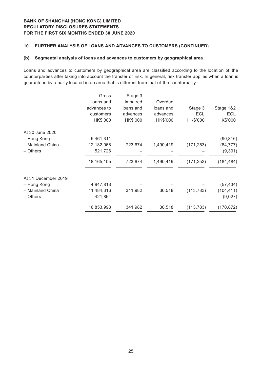#### **10 FURTHER ANALYSIS OF LOANS AND ADVANCES TO CUSTOMERS (CONTINUED)**

#### **(b) Segmental analysis of loans and advances to customers by geographical area**

Loans and advances to customers by geographical area are classified according to the location of the counterparties after taking into account the transfer of risk. In general, risk transfer applies when a loan is guaranteed by a party located in an area that is different from that of the counterparty.

|                     | Gross        | Stage 3   |           |            |            |
|---------------------|--------------|-----------|-----------|------------|------------|
|                     | loans and    | impaired  | Overdue   |            |            |
|                     | advances to  | loans and | loans and | Stage 3    | Stage 1&2  |
|                     | customers    | advances  | advances  | <b>ECL</b> | <b>ECL</b> |
|                     | HK\$'000     | HK\$'000  | HK\$'000  | HK\$'000   | HK\$'000   |
| At 30 June 2020     |              |           |           |            |            |
| - Hong Kong         | 5,461,311    |           |           |            | (90, 316)  |
| - Mainland China    | 12,182,068   | 723,674   | 1,490,419 | (171, 253) | (84, 777)  |
| - Others            | 521,726      |           |           |            | (9, 391)   |
|                     | 18, 165, 105 | 723,674   | 1,490,419 | (171, 253) | (184, 484) |
| At 31 December 2019 |              |           |           |            |            |
| - Hong Kong         | 4,947,813    |           |           |            | (57, 434)  |
| - Mainland China    | 11,484,316   | 341,982   | 30,518    | (113, 783) | (104, 411) |
| - Others            | 421,864      |           |           |            | (9,027)    |
|                     | 16,853,993   | 341,982   | 30,518    | (113, 783) | (170, 872) |
|                     |              |           |           |            |            |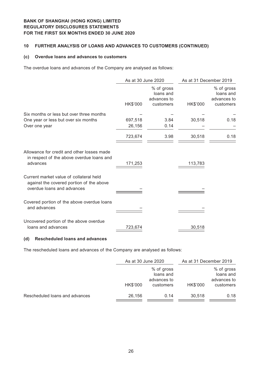#### **10 FURTHER ANALYSIS OF LOANS AND ADVANCES TO CUSTOMERS (CONTINUED)**

#### **(c) Overdue loans and advances to customers**

The overdue loans and advances of the Company are analysed as follows:

|                                                                                                                   | As at 30 June 2020 |                                                     | As at 31 December 2019 |                                                     |  |
|-------------------------------------------------------------------------------------------------------------------|--------------------|-----------------------------------------------------|------------------------|-----------------------------------------------------|--|
|                                                                                                                   | HK\$'000           | % of gross<br>loans and<br>advances to<br>customers | HK\$'000               | % of gross<br>loans and<br>advances to<br>customers |  |
| Six months or less but over three months                                                                          |                    |                                                     |                        |                                                     |  |
| One year or less but over six months                                                                              | 697,518            | 3.84                                                | 30,518                 | 0.18                                                |  |
| Over one year                                                                                                     | 26,156             | 0.14                                                |                        |                                                     |  |
|                                                                                                                   | 723,674            | 3.98                                                | 30,518                 | 0.18                                                |  |
| Allowance for credit and other losses made<br>in respect of the above overdue loans and<br>advances               | 171,253            |                                                     | 113,783                |                                                     |  |
| Current market value of collateral held<br>against the covered portion of the above<br>overdue loans and advances |                    |                                                     |                        |                                                     |  |
| Covered portion of the above overdue loans<br>and advances                                                        |                    |                                                     |                        |                                                     |  |
| Uncovered portion of the above overdue<br>loans and advances                                                      | 723,674            |                                                     | 30,518                 |                                                     |  |

#### **(d) Rescheduled loans and advances**

The rescheduled loans and advances of the Company are analysed as follows:

|                                | As at 30 June 2020 |             | As at 31 December 2019 |             |
|--------------------------------|--------------------|-------------|------------------------|-------------|
|                                | % of gross         |             |                        | % of gross  |
|                                |                    | loans and   |                        | loans and   |
|                                |                    | advances to |                        | advances to |
|                                | HK\$'000           | customers   | HK\$'000               | customers   |
| Rescheduled loans and advances | 26.156             | 0.14        | 30.518                 | 0.18        |
|                                |                    |             |                        |             |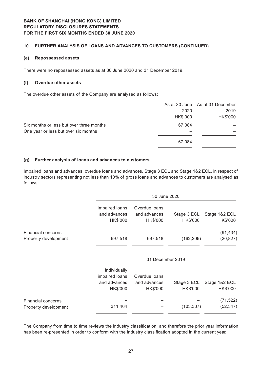#### **10 FURTHER ANALYSIS OF LOANS AND ADVANCES TO CUSTOMERS (CONTINUED)**

#### **(e) Repossessed assets**

There were no repossessed assets as at 30 June 2020 and 31 December 2019.

#### **(f) Overdue other assets**

The overdue other assets of the Company are analysed as follows:

|                                          |          | As at 30 June As at 31 December |
|------------------------------------------|----------|---------------------------------|
|                                          | 2020     | 2019                            |
|                                          | HK\$'000 | HK\$'000                        |
| Six months or less but over three months | 67.084   |                                 |
| One year or less but over six months     |          |                                 |
|                                          | 67.084   |                                 |
|                                          |          |                                 |

#### **(g) Further analysis of loans and advances to customers**

Impaired loans and advances, overdue loans and advances, Stage 3 ECL and Stage 1&2 ECL, in respect of industry sectors representing not less than 10% of gross loans and advances to customers are analysed as follows:

|                           |                                            | 30 June 2020                              |                         |                           |  |  |
|---------------------------|--------------------------------------------|-------------------------------------------|-------------------------|---------------------------|--|--|
|                           | Impaired loans<br>and advances<br>HK\$'000 | Overdue loans<br>and advances<br>HK\$'000 | Stage 3 ECL<br>HK\$'000 | Stage 1&2 ECL<br>HK\$'000 |  |  |
| <b>Financial concerns</b> |                                            |                                           |                         | (91, 434)                 |  |  |
| Property development      | 697,518                                    | 697,518                                   | (162, 209)              | (20, 827)                 |  |  |
|                           |                                            |                                           |                         |                           |  |  |
|                           |                                            | 31 December 2019                          |                         |                           |  |  |
|                           | Individually<br>impaired loans             | Overdue loans                             |                         |                           |  |  |
|                           | and advances<br>HK\$'000                   | and advances<br>HK\$'000                  | Stage 3 ECL<br>HK\$'000 | Stage 1&2 ECL<br>HK\$'000 |  |  |
| Financial concerns        |                                            |                                           |                         | (71, 522)                 |  |  |
| Property development      | 311,464                                    |                                           | (103, 337)              | (52, 347)                 |  |  |

The Company from time to time reviews the industry classification, and therefore the prior year information has been re-presented in order to conform with the industry classification adopted in the current year.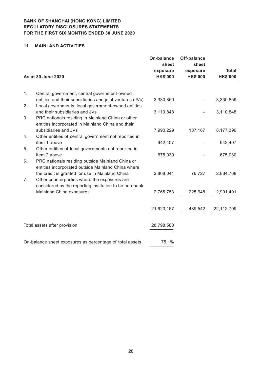#### **11 MAINLAND ACTIVITIES**

|    |                                                                                    | <b>On-balance</b><br>sheet | Off-balance<br>sheet |                 |
|----|------------------------------------------------------------------------------------|----------------------------|----------------------|-----------------|
|    |                                                                                    | exposure                   | exposure             | <b>Total</b>    |
|    | As at 30 June 2020                                                                 | <b>HK\$'000</b>            | <b>HK\$'000</b>      | <b>HK\$'000</b> |
|    |                                                                                    |                            |                      |                 |
| 1. | Central government, central government-owned                                       |                            |                      |                 |
|    | entities and their subsidiaries and joint ventures (JVs)                           | 3,330,859                  |                      | 3,330,859       |
| 2. | Local governments, local government-owned entities                                 |                            |                      |                 |
|    | and their subsidiaries and JVs                                                     | 3,110,848                  |                      | 3,110,848       |
| 3. | PRC nationals residing in Mainland China or other                                  |                            |                      |                 |
|    | entities incorporated in Mainland China and their                                  |                            |                      |                 |
|    | subsidiaries and JVs                                                               | 7,990,229                  | 187,167              | 8,177,396       |
| 4. | Other entities of central government not reported in                               |                            |                      |                 |
|    | item 1 above                                                                       | 942,407                    |                      | 942,407         |
| 5. | Other entities of local governments not reported in                                |                            |                      |                 |
|    | item 2 above                                                                       | 675,030                    |                      | 675,030         |
| 6. | PRC nationals residing outside Mainland China or                                   |                            |                      |                 |
|    | entities incorporated outside Mainland China where                                 |                            |                      |                 |
|    | the credit is granted for use in Mainland China                                    | 2,808,041                  | 76,727               | 2,884,768       |
| 7. | Other counterparties where the exposures are                                       |                            |                      |                 |
|    | considered by the reporting institution to be non-bank<br>Mainland China exposures |                            |                      | 2,991,401       |
|    |                                                                                    | 2,765,753                  | 225,648              |                 |
|    |                                                                                    |                            |                      |                 |
|    |                                                                                    | 21,623,167                 | 489,542              | 22,112,709      |
|    |                                                                                    |                            |                      |                 |
|    | Total assets after provision                                                       | 28,798,588                 |                      |                 |
|    |                                                                                    |                            |                      |                 |
|    |                                                                                    |                            |                      |                 |
|    | On-balance sheet exposures as percentage of total assets                           | 75.1%                      |                      |                 |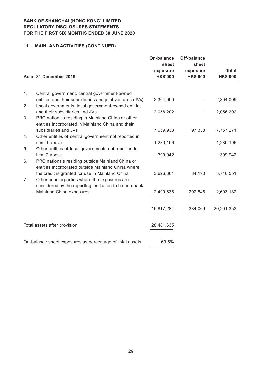# **11 MAINLAND ACTIVITIES (CONTINUED)**

|    |                                                                                                                | <b>On-balance</b>           | Off-balance                 |                 |
|----|----------------------------------------------------------------------------------------------------------------|-----------------------------|-----------------------------|-----------------|
|    |                                                                                                                | sheet                       | sheet                       | <b>Total</b>    |
|    | As at 31 December 2019                                                                                         | exposure<br><b>HK\$'000</b> | exposure<br><b>HK\$'000</b> | <b>HK\$'000</b> |
|    |                                                                                                                |                             |                             |                 |
| 1. | Central government, central government-owned                                                                   |                             |                             |                 |
| 2. | entities and their subsidiaries and joint ventures (JVs)<br>Local governments, local government-owned entities | 2,304,009                   |                             | 2,304,009       |
|    | and their subsidiaries and JVs                                                                                 | 2,056,202                   |                             | 2,056,202       |
| 3. | PRC nationals residing in Mainland China or other<br>entities incorporated in Mainland China and their         |                             |                             |                 |
|    | subsidiaries and JVs                                                                                           | 7,659,938                   | 97,333                      | 7,757,271       |
| 4. | Other entities of central government not reported in                                                           |                             |                             |                 |
|    | item 1 above                                                                                                   | 1,280,196                   |                             | 1,280,196       |
| 5. | Other entities of local governments not reported in                                                            |                             |                             |                 |
|    | item 2 above                                                                                                   | 399,942                     |                             | 399,942         |
| 6. | PRC nationals residing outside Mainland China or<br>entities incorporated outside Mainland China where         |                             |                             |                 |
|    | the credit is granted for use in Mainland China                                                                | 3,626,361                   | 84,190                      | 3,710,551       |
| 7. | Other counterparties where the exposures are                                                                   |                             |                             |                 |
|    | considered by the reporting institution to be non-bank                                                         |                             |                             |                 |
|    | Mainland China exposures                                                                                       | 2,490,636                   | 202,546                     | 2,693,182       |
|    |                                                                                                                |                             |                             |                 |
|    |                                                                                                                | 19,817,284                  | 384,069                     | 20,201,353      |
|    |                                                                                                                |                             |                             |                 |
|    | Total assets after provision                                                                                   | 28,481,635                  |                             |                 |
|    |                                                                                                                |                             |                             |                 |
|    | On-balance sheet exposures as percentage of total assets                                                       | 69.6%                       |                             |                 |
|    |                                                                                                                |                             |                             |                 |